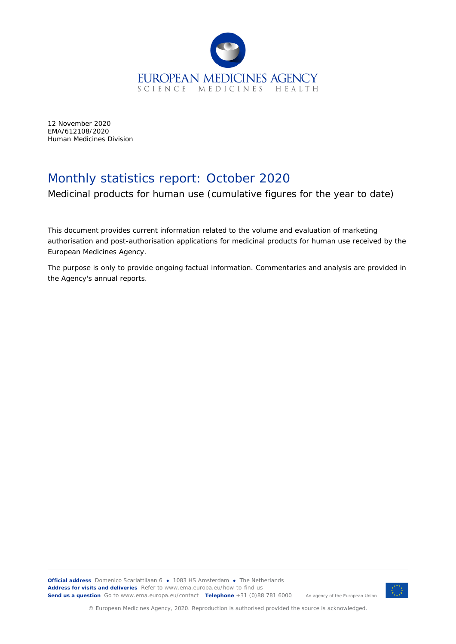

12 November 2020 EMA/612108/2020 Human Medicines Division

## Monthly statistics report: October 2020

Medicinal products for human use (cumulative figures for the year to date)

This document provides current information related to the volume and evaluation of marketing authorisation and post-authorisation applications for medicinal products for human use received by the European Medicines Agency.

The purpose is only to provide ongoing factual information. Commentaries and analysis are provided in the Agency's annual reports.



© European Medicines Agency, 2020. Reproduction is authorised provided the source is acknowledged.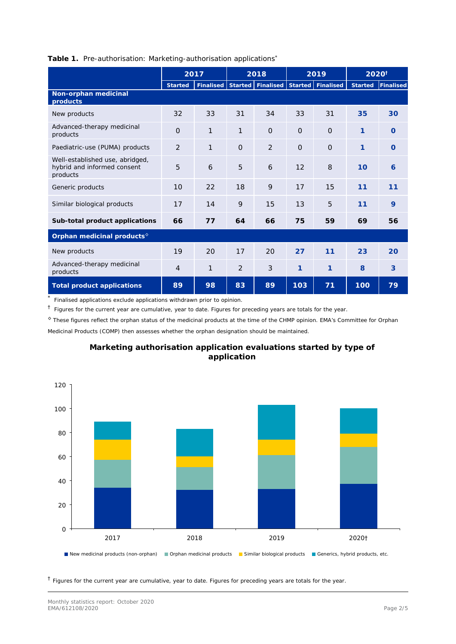|                                                                            | 2017           |              | 2018           |                   | 2019     |                   | 2020 <sup>†</sup> |           |
|----------------------------------------------------------------------------|----------------|--------------|----------------|-------------------|----------|-------------------|-------------------|-----------|
|                                                                            | <b>Started</b> | Finalised    |                | Started Finalised |          | Started Finalised | <b>Started</b>    | Finalised |
| Non-orphan medicinal<br>products                                           |                |              |                |                   |          |                   |                   |           |
| New products                                                               | 32             | 33           | 31             | 34                | 33       | 31                | 35                | 30        |
| Advanced-therapy medicinal<br>products                                     | $\Omega$       | $\mathbf{1}$ | 1              | $\Omega$          | $\Omega$ | $\Omega$          | $\mathbf{1}$      | $\Omega$  |
| Paediatric-use (PUMA) products                                             | $\overline{2}$ | 1            | $\Omega$       | 2                 | $\Omega$ | $\Omega$          | $\mathbf{1}$      | $\Omega$  |
| Well-established use, abridged,<br>hybrid and informed consent<br>products | 5              | 6            | 5              | 6                 | 12       | 8                 | 10                | 6         |
| Generic products                                                           | 10             | 22           | 18             | 9                 | 17       | 15                | 11                | 11        |
| Similar biological products                                                | 17             | 14           | 9              | 15                | 13       | 5                 | 11                | 9         |
| Sub-total product applications                                             | 66             | 77           | 64             | 66                | 75       | 59                | 69                | 56        |
| Orphan medicinal products <sup>6</sup>                                     |                |              |                |                   |          |                   |                   |           |
| New products                                                               | 19             | 20           | 17             | 20                | 27       | 11                | 23                | 20        |
| Advanced-therapy medicinal<br>products                                     | $\overline{4}$ | 1            | $\overline{2}$ | 3                 | 1        | 1                 | 8                 | 3         |
| Total product applications                                                 | 89             | 98           | 83             | 89                | 103      | 71                | 100               | 79        |

## **Table 1.** Pre-authorisation: Marketing-authorisation applications\*

Finalised applications exclude applications withdrawn prior to opinion.

 $<sup>†</sup>$  Figures for the current year are cumulative, year to date. Figures for preceding years are totals for the year.</sup>

◊ These figures reflect the orphan status of the medicinal products at the time of the CHMP opinion. EMA's Committee for Orphan Medicinal Products (COMP) then assesses whether the orphan designation should be maintained.



## **Marketing authorisation application evaluations started by type of application**

 $<sup>†</sup>$  Figures for the current year are cumulative, year to date. Figures for preceding years are totals for the year.</sup>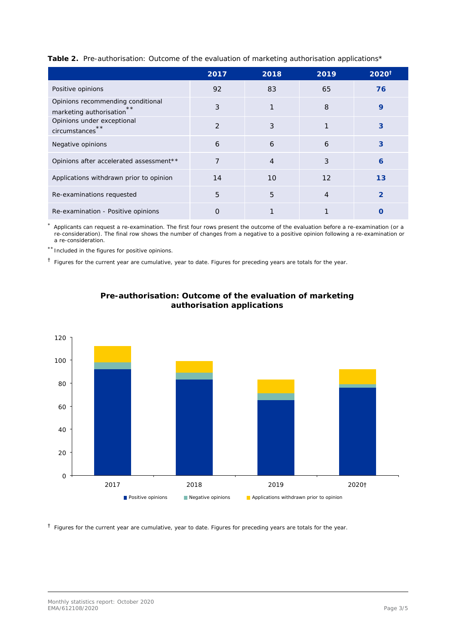| Table 2. Pre-authorisation: Outcome of the evaluation of marketing authorisation applications* |  |  |  |
|------------------------------------------------------------------------------------------------|--|--|--|
|                                                                                                |  |  |  |
|                                                                                                |  |  |  |

|                                                                       | 2017 | 2018 | 2019 | $2020^{\dagger}$ |
|-----------------------------------------------------------------------|------|------|------|------------------|
| Positive opinions                                                     | 92   | 83   | 65   | 76               |
| Opinions recommending conditional<br>$* *$<br>marketing authorisation | 3    | 1    | 8    | 9                |
| Opinions under exceptional<br>circumstances <sup>**</sup>             | 2    | 3    |      | 3                |
| Negative opinions                                                     | 6    | 6    | 6    | 3                |
| Opinions after accelerated assessment**                               | 7    | 4    | 3    | 6                |
| Applications withdrawn prior to opinion                               | 14   | 10   | 12   | 13               |
| Re-examinations requested                                             | 5    | 5    | 4    | $\overline{2}$   |
| Re-examination - Positive opinions                                    | Ο    |      |      |                  |

Applicants can request a re-examination. The first four rows present the outcome of the evaluation before a re-examination (or a re-consideration). The final row shows the number of changes from a negative to a positive opinion following a re-examination or a re-consideration.

\*\* Included in the figures for positive opinions.

 $<sup>†</sup>$  Figures for the current year are cumulative, year to date. Figures for preceding years are totals for the year.</sup>





 $<sup>†</sup>$  Figures for the current year are cumulative, year to date. Figures for preceding years are totals for the year.</sup>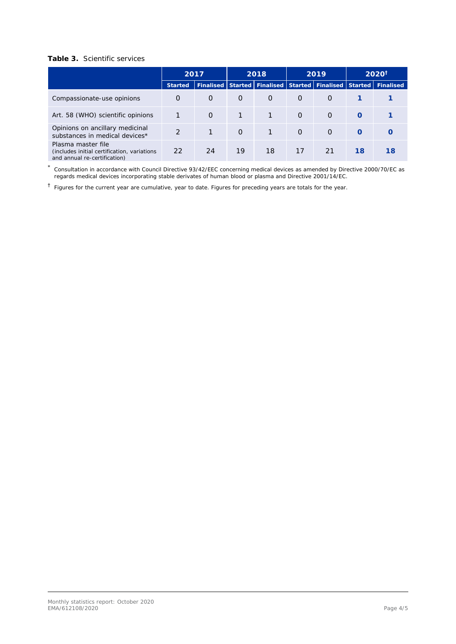## **Table 3.** Scientific services

|                                                                                                    | 2017          |                             | 2018     |          | 2019     |                     | $2020^{\dagger}$ |                   |
|----------------------------------------------------------------------------------------------------|---------------|-----------------------------|----------|----------|----------|---------------------|------------------|-------------------|
|                                                                                                    | Started       | Finalised Started Finalised |          |          |          | Started   Finalised |                  | Started Finalised |
| Compassionate-use opinions                                                                         | $\Omega$      | $\Omega$                    | $\Omega$ | $\Omega$ | $\Omega$ | $\Omega$            |                  |                   |
| Art. 58 (WHO) scientific opinions                                                                  |               | $\Omega$                    | 1        |          | $\Omega$ | $\Omega$            | $\Omega$         |                   |
| Opinions on ancillary medicinal<br>substances in medical devices*                                  | $\mathcal{D}$ |                             | $\Omega$ | 1        | $\Omega$ | $\Omega$            | $\Omega$         |                   |
| Plasma master file<br>(includes initial certification, variations)<br>and annual re-certification) | 22            | 24                          | 19       | 18       | 17       | 21                  | 18               | 18                |

\* Consultation in accordance with Council Directive 93/42/EEC concerning medical devices as amended by Directive 2000/70/EC as regards medical devices incorporating stable derivates of human blood or plasma and Directive 2001/14/EC.

† Figures for the current year are cumulative, year to date. Figures for preceding years are totals for the year.